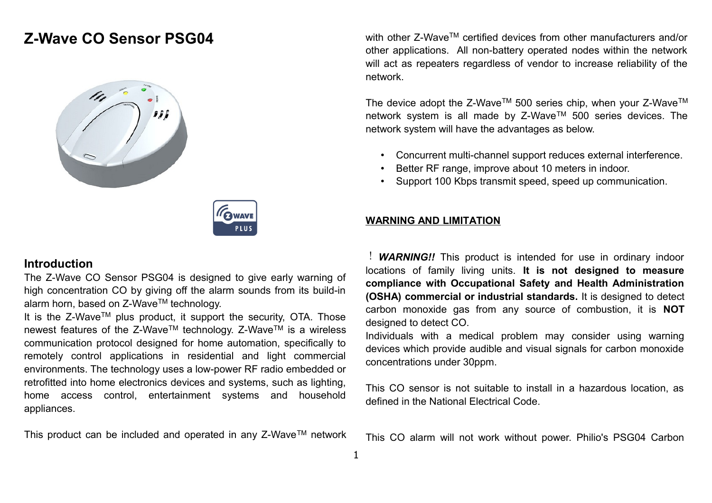# **Z-Wave CO Sensor PSG04**





### **Introduction**

The Z-Wave CO Sensor PSG04 is designed to give early warning of high concentration CO by giving off the alarm sounds from its build-in alarm horn, based on Z-Wave™ technology.

It is the  $Z$ -Wave<sup>TM</sup> plus product, it support the security, OTA. Those newest features of the Z-Wave™ technology. Z-Wave™ is a wireless communication protocol designed for home automation, specifically to remotely control applications in residential and light commercial environments. The technology uses a low-power RF radio embedded or retrofitted into home electronics devices and systems, such as lighting, home access control, entertainment systems and household appliances.

This product can be included and operated in any Z-Wave™ network

with other Z-Wave™ certified devices from other manufacturers and/or other applications. All non-battery operated nodes within the network will act as repeaters regardless of vendor to increase reliability of the network.

The device adopt the Z-Wave<sup>TM</sup> 500 series chip, when your Z-Wave<sup>TM</sup> network system is all made by Z-Wave™ 500 series devices. The network system will have the advantages as below.

- Concurrent multi-channel support reduces external interference.
- Better RF range, improve about 10 meters in indoor.
- Support 100 Kbps transmit speed, speed up communication.

#### **WARNING AND LIMITATION**

! *WARNING!!* This product is intended for use in ordinary indoor locations of family living units. **It is not designed to measure compliance with Occupational Safety and Health Administration (OSHA) commercial or industrial standards.** It is designed to detect carbon monoxide gas from any source of combustion, it is **NOT** designed to detect CO.

Individuals with a medical problem may consider using warning devices which provide audible and visual signals for carbon monoxide concentrations under 30ppm.

This CO sensor is not suitable to install in a hazardous location, as defined in the National Electrical Code.

This CO alarm will not work without power. Philio's PSG04 Carbon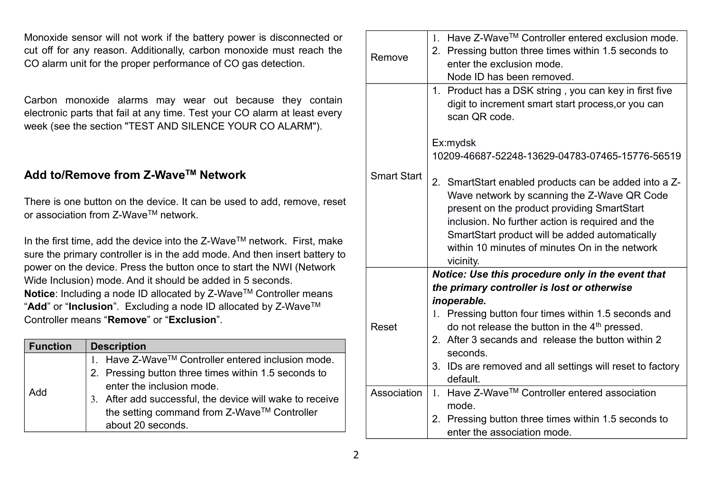Monoxide sensor will not work if the battery power is disconnected or cut off for any reason. Additionally, carbon monoxide must reach the CO alarm unit for the proper performance of CO gas detection.

Carbon monoxide alarms may wear out because they contain electronic parts that fail at any time. Test your CO alarm at least every week (see the section "TEST AND SILENCE YOUR CO ALARM").

# **Add to/Remove from Z-WaveTM Network**

There is one button on the device. It can be used to add, remove, reset or association from Z-WaveTM network.

In the first time, add the device into the Z-WaveTM network. First, make sure the primary controller is in the add mode. And then insert battery to power on the device. Press the button once to start the NWI (Network Wide Inclusion) mode. And it should be added in 5 seconds. **Notice:** Including a node ID allocated by Z-Wave™ Controller means "**Add**" or "**Inclusion**". Excluding a node ID allocated by Z-WaveTM Controller means "**Remove**" or "**Exclusion**".

| <b>Function</b> | <b>Description</b>                                       |  |  |
|-----------------|----------------------------------------------------------|--|--|
|                 | 1. Have Z-Wave™ Controller entered inclusion mode.       |  |  |
| Add             | 2. Pressing button three times within 1.5 seconds to     |  |  |
|                 | enter the inclusion mode.                                |  |  |
|                 | 3. After add successful, the device will wake to receive |  |  |
|                 | the setting command from Z-Wave™ Controller              |  |  |
|                 | about 20 seconds.                                        |  |  |

| Remove             | Have Z-Wave™ Controller entered exclusion mode.<br>$1_{-}$<br>2. Pressing button three times within 1.5 seconds to<br>enter the exclusion mode.<br>Node ID has been removed.                                                                                                                                             |
|--------------------|--------------------------------------------------------------------------------------------------------------------------------------------------------------------------------------------------------------------------------------------------------------------------------------------------------------------------|
|                    | 1. Product has a DSK string, you can key in first five<br>digit to increment smart start process, or you can<br>scan QR code.                                                                                                                                                                                            |
|                    | Ex:mydsk                                                                                                                                                                                                                                                                                                                 |
|                    | 10209-46687-52248-13629-04783-07465-15776-56519                                                                                                                                                                                                                                                                          |
| <b>Smart Start</b> | 2. SmartStart enabled products can be added into a Z-<br>Wave network by scanning the Z-Wave QR Code<br>present on the product providing SmartStart<br>inclusion. No further action is required and the<br>SmartStart product will be added automatically<br>within 10 minutes of minutes On in the network<br>vicinity. |
|                    | Notice: Use this procedure only in the event that                                                                                                                                                                                                                                                                        |
|                    | the primary controller is lost or otherwise                                                                                                                                                                                                                                                                              |
| Reset              | inoperable.<br>1. Pressing button four times within 1.5 seconds and<br>do not release the button in the 4 <sup>th</sup> pressed.                                                                                                                                                                                         |
|                    | 2. After 3 secands and release the button within 2<br>seconds.                                                                                                                                                                                                                                                           |
|                    | 3. IDs are removed and all settings will reset to factory<br>default.                                                                                                                                                                                                                                                    |
| Association        | 1. Have Z-Wave™ Controller entered association<br>mode.                                                                                                                                                                                                                                                                  |
|                    | 2. Pressing button three times within 1.5 seconds to<br>enter the association mode.                                                                                                                                                                                                                                      |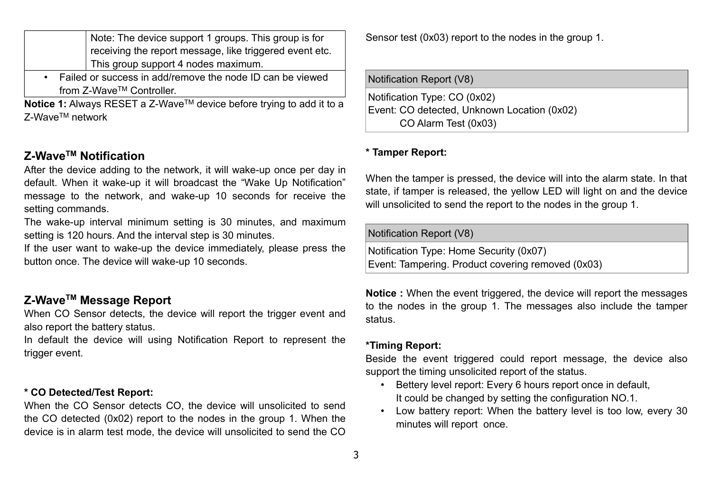|                                                             | Note: The device support 1 groups. This group is for    |  |
|-------------------------------------------------------------|---------------------------------------------------------|--|
|                                                             | receiving the report message, like triggered event etc. |  |
|                                                             | This group support 4 nodes maximum.                     |  |
| • Failed or success in add/remove the node ID can be viewed |                                                         |  |

from Z-WaveTM Controller.

**Notice 1:** Always RESET a Z-Wave™ device before trying to add it to a Z-WaveTM network

## **Z-WaveTM Notification**

After the device adding to the network, it will wake-up once per day in default. When it wake-up it will broadcast the "Wake Up Notification" message to the network, and wake-up 10 seconds for receive the setting commands.

The wake-up interval minimum setting is 30 minutes, and maximum setting is 120 hours. And the interval step is 30 minutes.

If the user want to wake-up the device immediately, please press the button once. The device will wake-up 10 seconds.

### **Z-WaveTM Message Report**

When CO Sensor detects, the device will report the trigger event and also report the battery status.

In default the device will using Notification Report to represent the trigger event.

#### **\* CO Detected/Test Report:**

When the CO Sensor detects CO, the device will unsolicited to send the CO detected (0x02) report to the nodes in the group 1. When the device is in alarm test mode, the device will unsolicited to send the CO Sensor test (0x03) report to the nodes in the group 1.

Notification Report (V8)

Notification Type: CO (0x02) Event: CO detected, Unknown Location (0x02) CO Alarm Test (0x03)

### **\* Tamper Report:**

When the tamper is pressed, the device will into the alarm state. In that state, if tamper is released, the yellow LED will light on and the device will unsolicited to send the report to the nodes in the group 1.

#### Notification Report (V8)

Notification Type: Home Security (0x07) Event: Tampering. Product covering removed (0x03)

**Notice :** When the event triggered, the device will report the messages to the nodes in the group 1. The messages also include the tamper status.

#### **\*Timing Report:**

Beside the event triggered could report message, the device also support the timing unsolicited report of the status.

- Bettery level report: Every 6 hours report once in default, It could be changed by setting the configuration NO.1.
- Low battery report: When the battery level is too low, every 30 minutes will report once.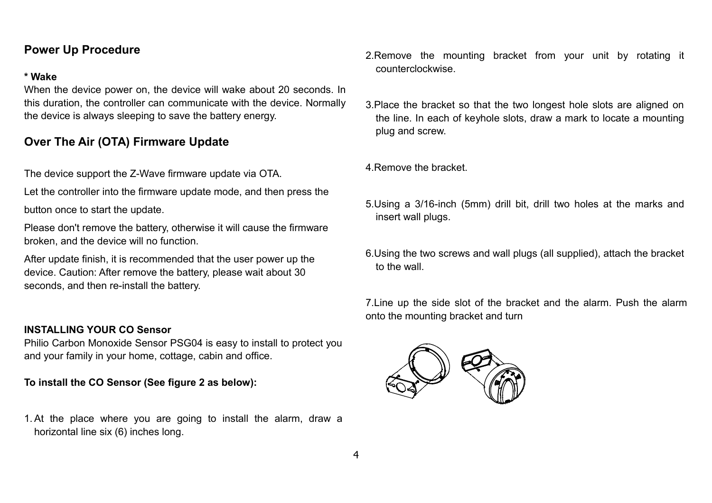## **Power Up Procedure**

### **\* Wake**

When the device power on, the device will wake about 20 seconds. In this duration, the controller can communicate with the device. Normally the device is always sleeping to save the battery energy.

# **Over The Air (OTA) Firmware Update**

The device support the Z-Wave firmware update via OTA.

Let the controller into the firmware update mode, and then press the

button once to start the update.

Please don't remove the battery, otherwise it will cause the firmware broken, and the device will no function.

After update finish, it is recommended that the user power up the device. Caution: After remove the battery, please wait about 30 seconds, and then re-install the battery.

### **INSTALLING YOUR CO Sensor**

Philio Carbon Monoxide Sensor PSG04 is easy to install to protect you and your family in your home, cottage, cabin and office.

**To install the CO Sensor (See figure 2 as below):**

1.At the place where you are going to install the alarm, draw a horizontal line six (6) inches long.

2.Remove the mounting bracket from your unit by rotating it counterclockwise.

3.Place the bracket so that the two longest hole slots are aligned on the line. In each of keyhole slots, draw a mark to locate a mounting plug and screw.

4.Remove the bracket.

- 5.Using a 3/16-inch (5mm) drill bit, drill two holes at the marks and insert wall plugs.
- 6.Using the two screws and wall plugs (all supplied), attach the bracket to the wall.

7.Line up the side slot of the bracket and the alarm. Push the alarm onto the mounting bracket and turn

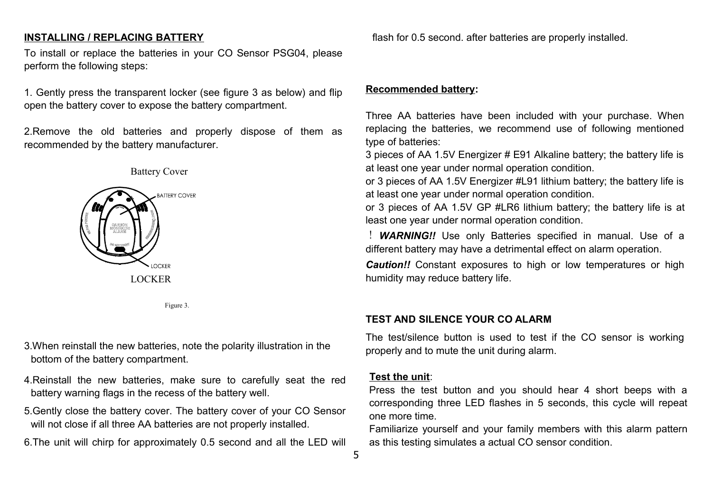### **INSTALLING / REPLACING BATTERY**

To install or replace the batteries in your CO Sensor PSG04, please perform the following steps:

1. Gently press the transparent locker (see figure 3 as below) and flip open the battery cover to expose the battery compartment.

2.Remove the old batteries and properly dispose of them as recommended by the battery manufacturer.



Figure 3.

- 3.When reinstall the new batteries, note the polarity illustration in the bottom of the battery compartment.
- 4.Reinstall the new batteries, make sure to carefully seat the red battery warning flags in the recess of the battery well.
- 5.Gently close the battery cover. The battery cover of your CO Sensor will not close if all three AA batteries are not properly installed.

6.The unit will chirp for approximately 0.5 second and all the LED will

flash for 0.5 second. after batteries are properly installed.

### **Recommended battery:**

Three AA batteries have been included with your purchase. When replacing the batteries, we recommend use of following mentioned type of batteries:

3 pieces of AA 1.5V Energizer # E91 Alkaline battery; the battery life is at least one year under normal operation condition.

or 3 pieces of AA 1.5V Energizer #L91 lithium battery; the battery life is at least one year under normal operation condition.

or 3 pieces of AA 1.5V GP #LR6 lithium battery; the battery life is at least one year under normal operation condition.

! *WARNING!!* Use only Batteries specified in manual. Use of a different battery may have a detrimental effect on alarm operation.

*Caution!!* Constant exposures to high or low temperatures or high humidity may reduce battery life.

#### **TEST AND SILENCE YOUR CO ALARM**

The test/silence button is used to test if the CO sensor is working properly and to mute the unit during alarm.

#### **Test the unit**:

Press the test button and you should hear 4 short beeps with a corresponding three LED flashes in 5 seconds, this cycle will repeat one more time.

Familiarize yourself and your family members with this alarm pattern as this testing simulates a actual CO sensor condition.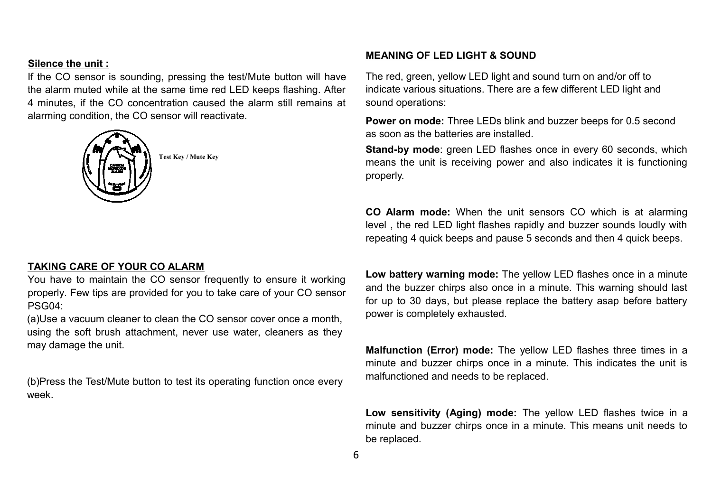### **Silence the unit :**

If the CO sensor is sounding, pressing the test/Mute button will have the alarm muted while at the same time red LED keeps flashing. After 4 minutes, if the CO concentration caused the alarm still remains at alarming condition, the CO sensor will reactivate.



**Test Key / Mute Key**

#### **TAKING CARE OF YOUR CO ALARM**

You have to maintain the CO sensor frequently to ensure it working properly. Few tips are provided for you to take care of your CO sensor PSG04:

(a)Use a vacuum cleaner to clean the CO sensor cover once a month, using the soft brush attachment, never use water, cleaners as they may damage the unit.

(b)Press the Test/Mute button to test its operating function once every week.

#### **MEANING OF LED LIGHT & SOUND**

The red, green, yellow LED light and sound turn on and/or off to indicate various situations. There are a few different LED light and sound operations:

**Power on mode:** Three LEDs blink and buzzer beeps for 0.5 second as soon as the batteries are installed.

**Stand-by mode**: green LED flashes once in every 60 seconds, which means the unit is receiving power and also indicates it is functioning properly.

**CO Alarm mode:** When the unit sensors CO which is at alarming level , the red LED light flashes rapidly and buzzer sounds loudly with repeating 4 quick beeps and pause 5 seconds and then 4 quick beeps.

**Low battery warning mode:** The yellow LED flashes once in a minute and the buzzer chirps also once in a minute. This warning should last for up to 30 days, but please replace the battery asap before battery power is completely exhausted.

**Malfunction (Error) mode:** The yellow LED flashes three times in a minute and buzzer chirps once in a minute. This indicates the unit is malfunctioned and needs to be replaced.

**Low sensitivity (Aging) mode:** The yellow LED flashes twice in a minute and buzzer chirps once in a minute. This means unit needs to be replaced.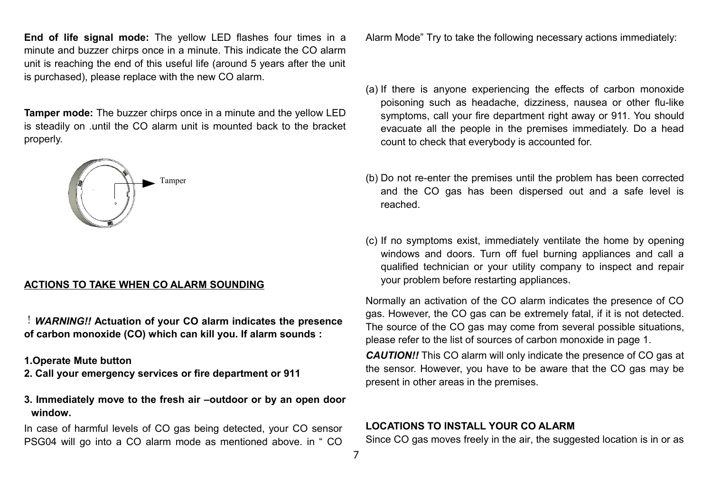**End of life signal mode:** The yellow LED flashes four times in a minute and buzzer chirps once in a minute. This indicate the CO alarm unit is reaching the end of this useful life (around 5 years after the unit is purchased), please replace with the new CO alarm.

**Tamper mode:** The buzzer chirps once in a minute and the yellow LED is steadily on .until the CO alarm unit is mounted back to the bracket properly.



#### **ACTIONS TO TAKE WHEN CO ALARM SOUNDING**

!*WARNING!!* **Actuation of your CO alarm indicates the presence of carbon monoxide (CO) which can kill you. If alarm sounds :**

**1.Operate Mute button** 

- **2. Call your emergency services or fire department or 911**
- **3. Immediately move to the fresh air –outdoor or by an open door window.**

In case of harmful levels of CO gas being detected, your CO sensor PSG04 will go into a CO alarm mode as mentioned above. in " CO

Alarm Mode" Try to take the following necessary actions immediately:

- (a) If there is anyone experiencing the effects of carbon monoxide poisoning such as headache, dizziness, nausea or other flu-like symptoms, call your fire department right away or 911. You should evacuate all the people in the premises immediately. Do a head count to check that everybody is accounted for.
- (b) Do not re-enter the premises until the problem has been corrected and the CO gas has been dispersed out and a safe level is reached.
- (c) If no symptoms exist, immediately ventilate the home by opening windows and doors. Turn off fuel burning appliances and call a qualified technician or your utility company to inspect and repair your problem before restarting appliances.

Normally an activation of the CO alarm indicates the presence of CO gas. However, the CO gas can be extremely fatal, if it is not detected. The source of the CO gas may come from several possible situations, please refer to the list of sources of carbon monoxide in page 1.

*CAUTION!!* This CO alarm will only indicate the presence of CO gas at the sensor. However, you have to be aware that the CO gas may be present in other areas in the premises.

#### **LOCATIONS TO INSTALL YOUR CO ALARM**

Since CO gas moves freely in the air, the suggested location is in or as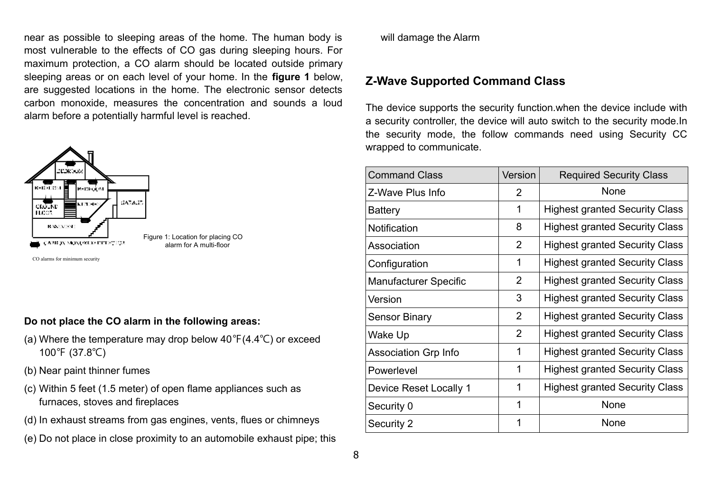near as possible to sleeping areas of the home. The human body is most vulnerable to the effects of CO gas during sleeping hours. For maximum protection, a CO alarm should be located outside primary sleeping areas or on each level of your home. In the **figure 1** below, are suggested locations in the home. The electronic sensor detects carbon monoxide, measures the concentration and sounds a loud alarm before a potentially harmful level is reached.



Figure 1: Location for placing CO alarm for A multi-floor

CO alarms for minimum security

#### **Do not place the CO alarm in the following areas:**

- (a) Where the temperature may drop below  $40^{\circ}F(4.4^{\circ}C)$  or exceed 100℉ (37.8℃)
- (b) Near paint thinner fumes
- (c) Within 5 feet (1.5 meter) of open flame appliances such as furnaces, stoves and fireplaces
- (d) In exhaust streams from gas engines, vents, flues or chimneys
- (e) Do not place in close proximity to an automobile exhaust pipe; this

will damage the Alarm

# **Z-Wave Supported Command Class**

The device supports the security function.when the device include with a security controller, the device will auto switch to the security mode.In the security mode, the follow commands need using Security CC wrapped to communicate.

| <b>Command Class</b>         | Version        | <b>Required Security Class</b>        |
|------------------------------|----------------|---------------------------------------|
| Z-Wave Plus Info             | $\overline{2}$ | None                                  |
| <b>Battery</b>               | 1              | <b>Highest granted Security Class</b> |
| <b>Notification</b>          | 8              | <b>Highest granted Security Class</b> |
| Association                  | $\overline{2}$ | <b>Highest granted Security Class</b> |
| Configuration                | 1              | <b>Highest granted Security Class</b> |
| <b>Manufacturer Specific</b> | $\overline{2}$ | <b>Highest granted Security Class</b> |
| Version                      | 3              | <b>Highest granted Security Class</b> |
| <b>Sensor Binary</b>         | $\overline{2}$ | <b>Highest granted Security Class</b> |
| Wake Up                      | $\overline{2}$ | <b>Highest granted Security Class</b> |
| <b>Association Grp Info</b>  | 1              | <b>Highest granted Security Class</b> |
| Powerlevel                   | 1              | <b>Highest granted Security Class</b> |
| Device Reset Locally 1       | 1              | <b>Highest granted Security Class</b> |
| Security 0                   | 1              | None                                  |
| Security 2                   | 1              | None                                  |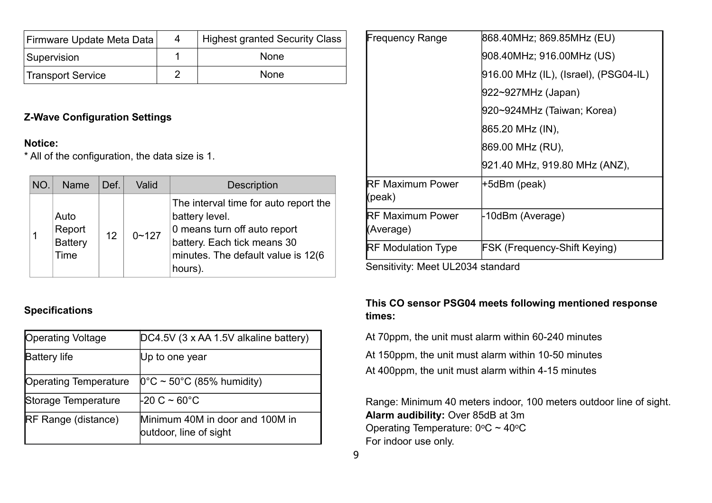| Firmware Update Meta Data | 4 | <b>Highest granted Security Class</b> |
|---------------------------|---|---------------------------------------|
| Supervision               |   | <b>None</b>                           |
| Transport Service         |   | <b>None</b>                           |

## **Z-Wave Configuration Settings**

### **Notice:**

\* All of the configuration, the data size is 1.

| NO. | <b>Name</b>                                     | Def. | Valid     | <b>Description</b>                                                                                                                                                       |
|-----|-------------------------------------------------|------|-----------|--------------------------------------------------------------------------------------------------------------------------------------------------------------------------|
|     | Auto<br>Report<br><b>Battery</b><br><b>Time</b> | 12   | $0 - 127$ | The interval time for auto report the<br>battery level.<br>0 means turn off auto report<br>battery. Each tick means 30<br>minutes. The default value is 12(6)<br>hours). |

## **Specifications**

| <b>Operating Voltage</b>     | DC4.5V (3 x AA 1.5V alkaline battery)                     |
|------------------------------|-----------------------------------------------------------|
| <b>Battery life</b>          | Up to one year                                            |
| <b>Operating Temperature</b> | $[0^{\circ}$ C ~ 50°C (85% humidity)                      |
| Storage Temperature          | $\frac{1}{20}$ C ~ 60°C                                   |
| <b>IRF Range (distance)</b>  | Minimum 40M in door and 100M in<br>outdoor, line of sight |

| <b>Frequency Range</b>                | 868.40MHz; 869.85MHz (EU)             |
|---------------------------------------|---------------------------------------|
|                                       | 908.40MHz; 916.00MHz (US)             |
|                                       | 916.00 MHz (IL), (Israel), (PSG04-IL) |
|                                       | 922~927MHz (Japan)                    |
|                                       | 920~924MHz (Taiwan; Korea)            |
|                                       | 865.20 MHz (IN),                      |
|                                       | 869.00 MHz (RU),                      |
|                                       | 921.40 MHz, 919.80 MHz (ANZ),         |
| <b>IRF Maximum Power</b><br>(peak)    | +5dBm (peak)                          |
| <b>IRF Maximum Power</b><br>(Average) | -10dBm (Average)                      |
| <b>RF Modulation Type</b>             | <b>FSK (Frequency-Shift Keying)</b>   |

Sensitivity: Meet UL2034 standard

## **This CO sensor PSG04 meets following mentioned response times:**

At 70ppm, the unit must alarm within 60-240 minutes

At 150ppm, the unit must alarm within 10-50 minutes At 400ppm, the unit must alarm within 4-15 minutes

Range: Minimum 40 meters indoor, 100 meters outdoor line of sight. **Alarm audibility:** Over 85dB at 3m Operating Temperature:  $0^{\circ}$ C ~ 40°C For indoor use only.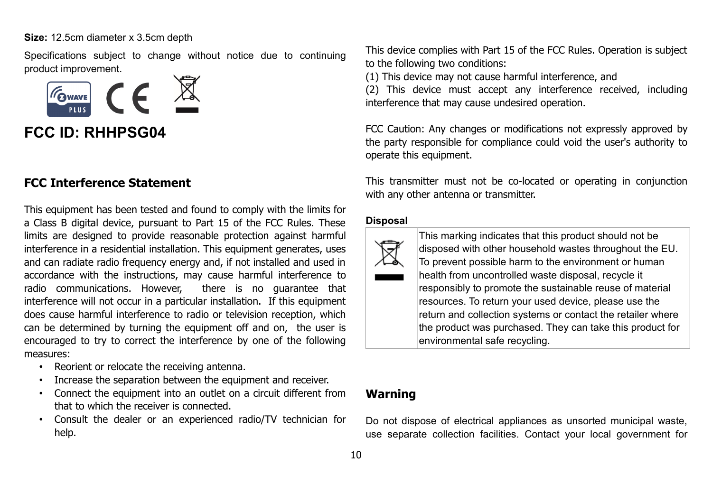**Size:** 12.5cm diameter x 3.5cm depth

Specifications subject to change without notice due to continuing product improvement.



**FCC ID: RHHPSG04** 

## **FCC Interference Statement**

This equipment has been tested and found to comply with the limits for a Class B digital device, pursuant to Part 15 of the FCC Rules. These limits are designed to provide reasonable protection against harmful interference in a residential installation. This equipment generates, uses and can radiate radio frequency energy and, if not installed and used in accordance with the instructions, may cause harmful interference to radio communications. However, there is no guarantee that interference will not occur in a particular installation. If this equipment does cause harmful interference to radio or television reception, which can be determined by turning the equipment off and on, the user is encouraged to try to correct the interference by one of the following measures:

- Reorient or relocate the receiving antenna.
- Increase the separation between the equipment and receiver.
- Connect the equipment into an outlet on a circuit different from that to which the receiver is connected.
- Consult the dealer or an experienced radio/TV technician for help.

This device complies with Part 15 of the FCC Rules. Operation is subject to the following two conditions:

(1) This device may not cause harmful interference, and

(2) This device must accept any interference received, including interference that may cause undesired operation.

FCC Caution: Any changes or modifications not expressly approved by the party responsible for compliance could void the user's authority to operate this equipment.

This transmitter must not be co-located or operating in conjunction with any other antenna or transmitter.

#### **Disposal**



This marking indicates that this product should not be disposed with other household wastes throughout the EU. To prevent possible harm to the environment or human health from uncontrolled waste disposal, recycle it responsibly to promote the sustainable reuse of material resources. To return your used device, please use the return and collection systems or contact the retailer where the product was purchased. They can take this product for environmental safe recycling.

## **Warning**

Do not dispose of electrical appliances as unsorted municipal waste, use separate collection facilities. Contact your local government for